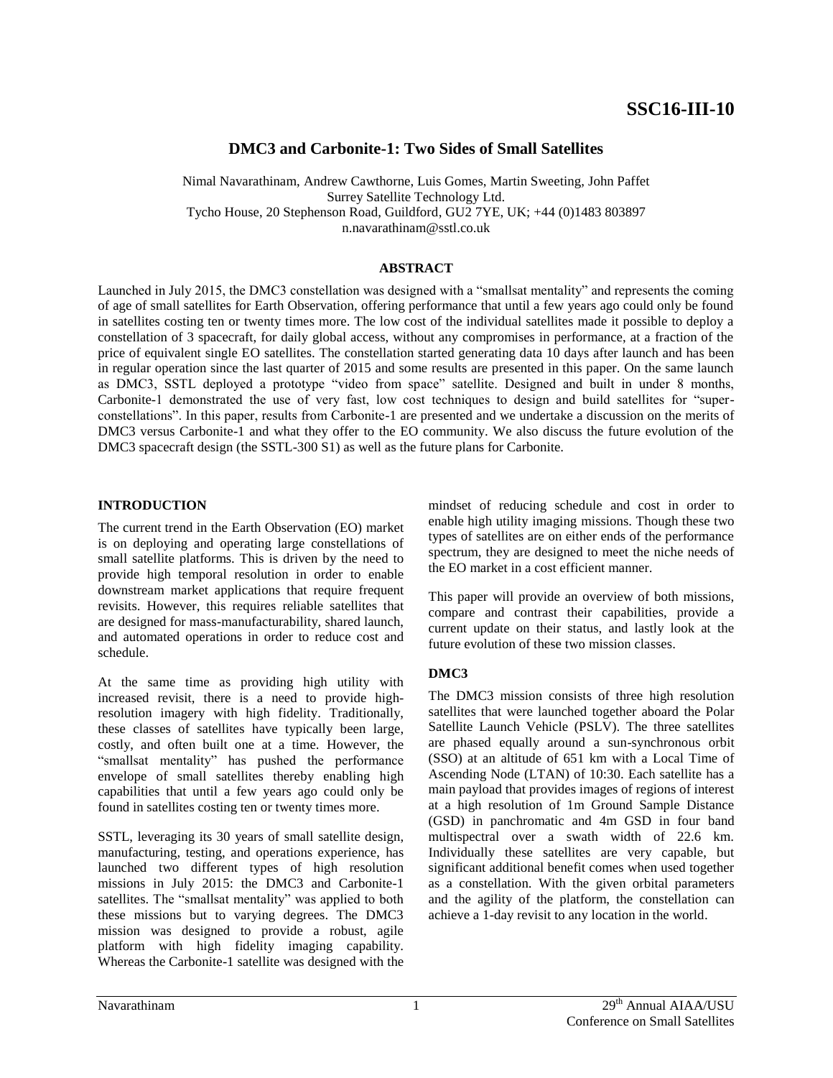# **DMC3 and Carbonite-1: Two Sides of Small Satellites**

Nimal Navarathinam, Andrew Cawthorne, Luis Gomes, Martin Sweeting, John Paffet Surrey Satellite Technology Ltd. Tycho House, 20 Stephenson Road, Guildford, GU2 7YE, UK; +44 (0)1483 803897 n.navarathinam@sstl.co.uk

### **ABSTRACT**

Launched in July 2015, the DMC3 constellation was designed with a "smallsat mentality" and represents the coming of age of small satellites for Earth Observation, offering performance that until a few years ago could only be found in satellites costing ten or twenty times more. The low cost of the individual satellites made it possible to deploy a constellation of 3 spacecraft, for daily global access, without any compromises in performance, at a fraction of the price of equivalent single EO satellites. The constellation started generating data 10 days after launch and has been in regular operation since the last quarter of 2015 and some results are presented in this paper. On the same launch as DMC3, SSTL deployed a prototype "video from space" satellite. Designed and built in under 8 months, Carbonite-1 demonstrated the use of very fast, low cost techniques to design and build satellites for "superconstellations". In this paper, results from Carbonite-1 are presented and we undertake a discussion on the merits of DMC3 versus Carbonite-1 and what they offer to the EO community. We also discuss the future evolution of the DMC3 spacecraft design (the SSTL-300 S1) as well as the future plans for Carbonite.

### **INTRODUCTION**

The current trend in the Earth Observation (EO) market is on deploying and operating large constellations of small satellite platforms. This is driven by the need to provide high temporal resolution in order to enable downstream market applications that require frequent revisits. However, this requires reliable satellites that are designed for mass-manufacturability, shared launch, and automated operations in order to reduce cost and schedule.

At the same time as providing high utility with increased revisit, there is a need to provide highresolution imagery with high fidelity. Traditionally, these classes of satellites have typically been large, costly, and often built one at a time. However, the "smallsat mentality" has pushed the performance envelope of small satellites thereby enabling high capabilities that until a few years ago could only be found in satellites costing ten or twenty times more.

SSTL, leveraging its 30 years of small satellite design, manufacturing, testing, and operations experience, has launched two different types of high resolution missions in July 2015: the DMC3 and Carbonite-1 satellites. The "smallsat mentality" was applied to both these missions but to varying degrees. The DMC3 mission was designed to provide a robust, agile platform with high fidelity imaging capability. Whereas the Carbonite-1 satellite was designed with the

mindset of reducing schedule and cost in order to enable high utility imaging missions. Though these two types of satellites are on either ends of the performance spectrum, they are designed to meet the niche needs of the EO market in a cost efficient manner.

This paper will provide an overview of both missions, compare and contrast their capabilities, provide a current update on their status, and lastly look at the future evolution of these two mission classes.

### **DMC3**

The DMC3 mission consists of three high resolution satellites that were launched together aboard the Polar Satellite Launch Vehicle (PSLV). The three satellites are phased equally around a sun-synchronous orbit (SSO) at an altitude of 651 km with a Local Time of Ascending Node (LTAN) of 10:30. Each satellite has a main payload that provides images of regions of interest at a high resolution of 1m Ground Sample Distance (GSD) in panchromatic and 4m GSD in four band multispectral over a swath width of 22.6 km. Individually these satellites are very capable, but significant additional benefit comes when used together as a constellation. With the given orbital parameters and the agility of the platform, the constellation can achieve a 1-day revisit to any location in the world.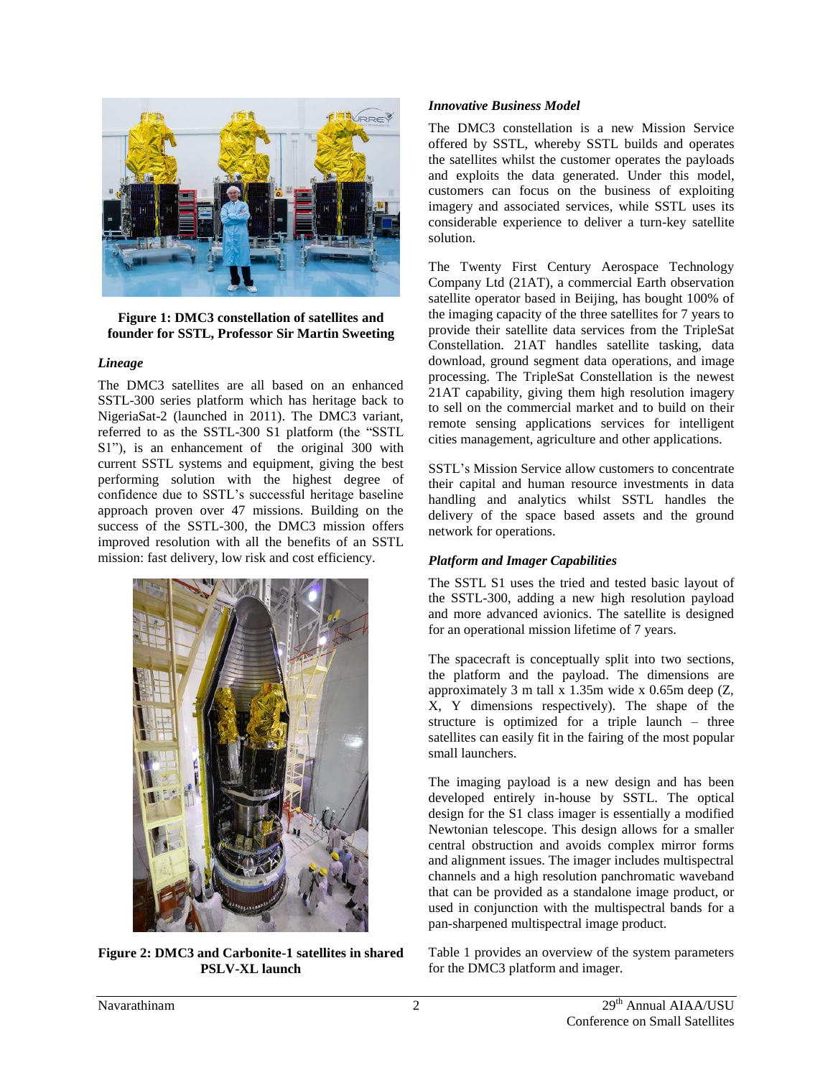

**Figure 1: DMC3 constellation of satellites and founder for SSTL, Professor Sir Martin Sweeting**

#### *Lineage*

The DMC3 satellites are all based on an enhanced SSTL-300 series platform which has heritage back to NigeriaSat-2 (launched in 2011). The DMC3 variant, referred to as the SSTL-300 S1 platform (the "SSTL S1"), is an enhancement of the original 300 with current SSTL systems and equipment, giving the best performing solution with the highest degree of confidence due to SSTL's successful heritage baseline approach proven over 47 missions. Building on the success of the SSTL-300, the DMC3 mission offers improved resolution with all the benefits of an SSTL mission: fast delivery, low risk and cost efficiency.



**Figure 2: DMC3 and Carbonite-1 satellites in shared PSLV-XL launch**

#### *Innovative Business Model*

The DMC3 constellation is a new Mission Service offered by SSTL, whereby SSTL builds and operates the satellites whilst the customer operates the payloads and exploits the data generated. Under this model, customers can focus on the business of exploiting imagery and associated services, while SSTL uses its considerable experience to deliver a turn-key satellite solution.

The Twenty First Century Aerospace Technology Company Ltd (21AT), a commercial Earth observation satellite operator based in Beijing, has bought 100% of the imaging capacity of the three satellites for 7 years to provide their satellite data services from the TripleSat Constellation. 21AT handles satellite tasking, data download, ground segment data operations, and image processing. The TripleSat Constellation is the newest 21AT capability, giving them high resolution imagery to sell on the commercial market and to build on their remote sensing applications services for intelligent cities management, agriculture and other applications.

SSTL's Mission Service allow customers to concentrate their capital and human resource investments in data handling and analytics whilst SSTL handles the delivery of the space based assets and the ground network for operations.

### *Platform and Imager Capabilities*

The SSTL S1 uses the tried and tested basic layout of the SSTL-300, adding a new high resolution payload and more advanced avionics. The satellite is designed for an operational mission lifetime of 7 years.

The spacecraft is conceptually split into two sections, the platform and the payload. The dimensions are approximately 3 m tall x 1.35m wide x 0.65m deep (Z, X, Y dimensions respectively). The shape of the structure is optimized for a triple launch – three satellites can easily fit in the fairing of the most popular small launchers.

The imaging payload is a new design and has been developed entirely in-house by SSTL. The optical design for the S1 class imager is essentially a modified Newtonian telescope. This design allows for a smaller central obstruction and avoids complex mirror forms and alignment issues. The imager includes multispectral channels and a high resolution panchromatic waveband that can be provided as a standalone image product, or used in conjunction with the multispectral bands for a pan-sharpened multispectral image product.

[Table 1](#page-2-0) provides an overview of the system parameters for the DMC3 platform and imager.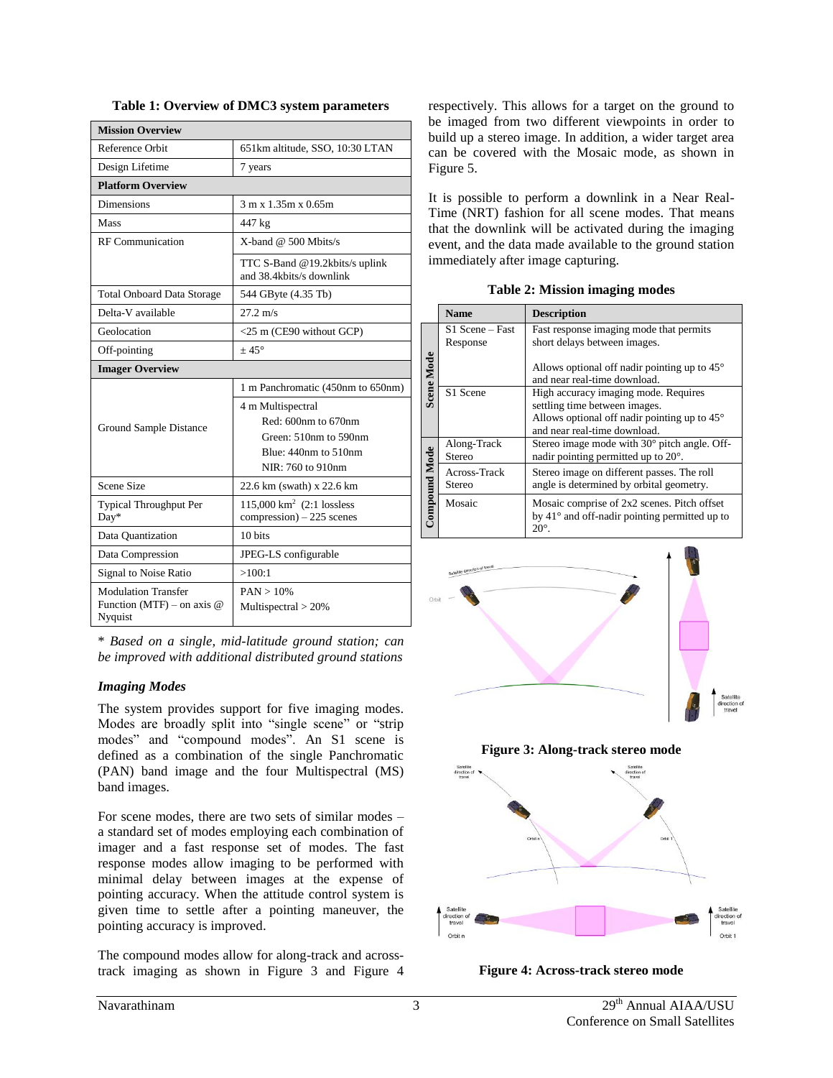| <b>Mission Overview</b>                 |                                                              |  |
|-----------------------------------------|--------------------------------------------------------------|--|
| Reference Orbit                         | 651km altitude, SSO, 10:30 LTAN                              |  |
| Design Lifetime                         | 7 years                                                      |  |
| <b>Platform Overview</b>                |                                                              |  |
| <b>Dimensions</b>                       | 3 m x 1.35m x 0.65m                                          |  |
| Mass                                    | 447 kg                                                       |  |
| <b>RF</b> Communication                 | X-band $@$ 500 Mbits/s                                       |  |
|                                         | TTC S-Band @19.2kbits/s uplink<br>and 38.4kbits/s downlink   |  |
| <b>Total Onboard Data Storage</b>       | 544 GByte (4.35 Tb)                                          |  |
| Delta-V available                       | $27.2 \text{ m/s}$                                           |  |
| Geolocation                             | <25 m (CE90 without GCP)                                     |  |
| Off-pointing                            | $+45^{\circ}$                                                |  |
| <b>Imager Overview</b>                  |                                                              |  |
| Ground Sample Distance                  | 1 m Panchromatic (450nm to 650nm)                            |  |
|                                         | 4 m Multispectral                                            |  |
|                                         | Red: 600nm to 670nm                                          |  |
|                                         | Green: 510nm to 590nm                                        |  |
|                                         | Blue: $440nm$ to $510nm$                                     |  |
|                                         | NIR: 760 to 910nm                                            |  |
| <b>Scene Size</b>                       | 22.6 km (swath) x 22.6 km                                    |  |
| Typical Throughput Per<br>Day*          | 115,000 $km^2$ (2:1 lossless<br>$compression$ ) – 225 scenes |  |
| Data Quantization                       | 10 hits                                                      |  |
| Data Compression                        | JPEG-LS configurable                                         |  |
| Signal to Noise Ratio                   | >100:1                                                       |  |
| <b>Modulation Transfer</b>              | PAN > 10%                                                    |  |
| Function (MTF) – on axis $@$<br>Nyquist | Multispectral $>$ 20%                                        |  |

<span id="page-2-0"></span>**Table 1: Overview of DMC3 system parameters**

\* *Based on a single, mid-latitude ground station; can be improved with additional distributed ground stations*

### *Imaging Modes*

The system provides support for five imaging modes. Modes are broadly split into "single scene" or "strip modes" and "compound modes". An S1 scene is defined as a combination of the single Panchromatic (PAN) band image and the four Multispectral (MS) band images.

For scene modes, there are two sets of similar modes – a standard set of modes employing each combination of imager and a fast response set of modes. The fast response modes allow imaging to be performed with minimal delay between images at the expense of pointing accuracy. When the attitude control system is given time to settle after a pointing maneuver, the pointing accuracy is improved.

The compound modes allow for along-track and acrosstrack imaging as shown in [Figure 3](#page-2-1) and [Figure 4](#page-2-2) respectively. This allows for a target on the ground to be imaged from two different viewpoints in order to build up a stereo image. In addition, a wider target area can be covered with the Mosaic mode, as shown in [Figure 5.](#page-3-0)

It is possible to perform a downlink in a Near Real-Time (NRT) fashion for all scene modes. That means that the downlink will be activated during the imaging event, and the data made available to the ground station immediately after image capturing.

**Table 2: Mission imaging modes**

|                      | <b>Name</b>                             | <b>Description</b>                                                                                                                                             |
|----------------------|-----------------------------------------|----------------------------------------------------------------------------------------------------------------------------------------------------------------|
|                      | S <sub>1</sub> Scene – Fast<br>Response | Fast response imaging mode that permits<br>short delays between images.                                                                                        |
| Scene Mode           |                                         | Allows optional off nadir pointing up to $45^{\circ}$<br>and near real-time download.                                                                          |
|                      | S1 Scene                                | High accuracy imaging mode. Requires<br>settling time between images.<br>Allows optional off nadir pointing up to $45^{\circ}$<br>and near real-time download. |
|                      | Along-Track<br>Stereo                   | Stereo image mode with 30° pitch angle. Off-<br>nadir pointing permitted up to $20^{\circ}$ .                                                                  |
|                      | Across-Track<br>Stereo                  | Stereo image on different passes. The roll<br>angle is determined by orbital geometry.                                                                         |
| <b>Compound Mode</b> | Mosaic                                  | Mosaic comprise of 2x2 scenes. Pitch offset<br>by $41^\circ$ and off-nadir pointing permitted up to<br>$20^{\circ}$ .                                          |



**Figure 3: Along-track stereo mode**

<span id="page-2-1"></span>

<span id="page-2-2"></span>**Figure 4: Across-track stereo mode**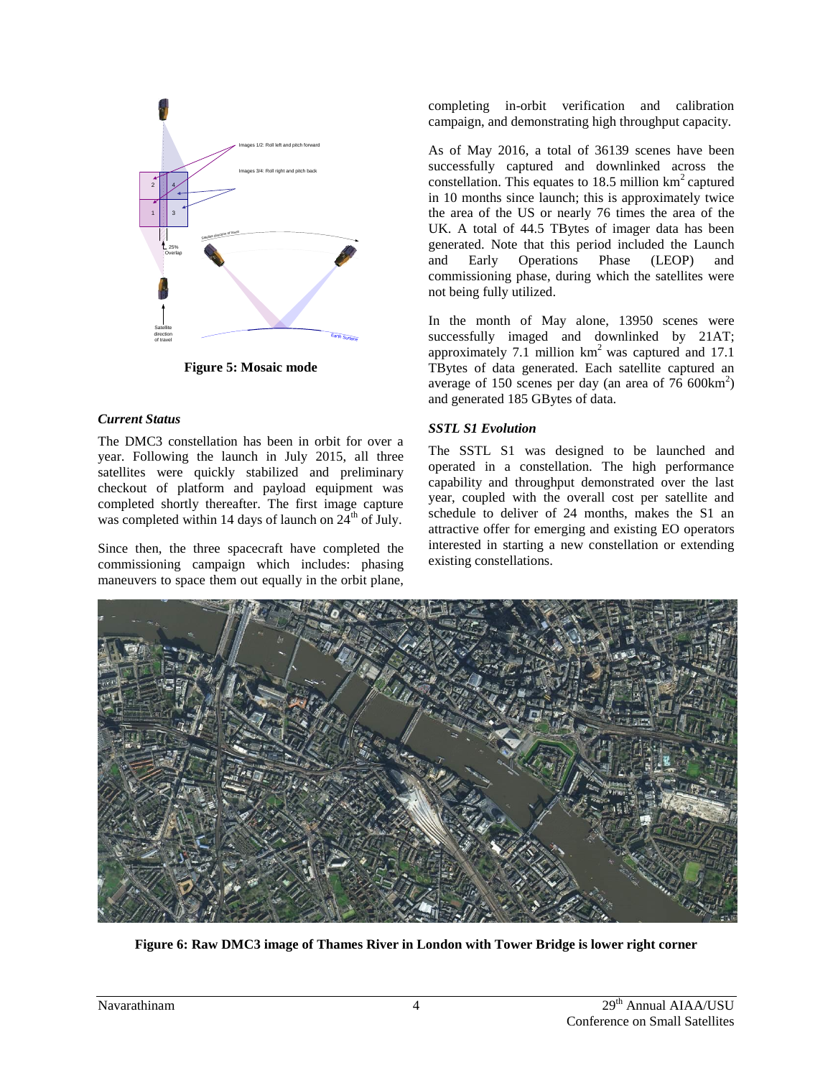

**Figure 5: Mosaic mode**

### <span id="page-3-0"></span>*Current Status*

The DMC3 constellation has been in orbit for over a year. Following the launch in July 2015, all three satellites were quickly stabilized and preliminary checkout of platform and payload equipment was completed shortly thereafter. The first image capture was completed within 14 days of launch on  $24<sup>th</sup>$  of July.

Since then, the three spacecraft have completed the commissioning campaign which includes: phasing maneuvers to space them out equally in the orbit plane,

completing in-orbit verification and calibration campaign, and demonstrating high throughput capacity.

As of May 2016, a total of 36139 scenes have been successfully captured and downlinked across the constellation. This equates to 18.5 million  $km^2$  captured in 10 months since launch; this is approximately twice the area of the US or nearly 76 times the area of the UK. A total of 44.5 TBytes of imager data has been generated. Note that this period included the Launch and Early Operations Phase (LEOP) and commissioning phase, during which the satellites were not being fully utilized.

In the month of May alone, 13950 scenes were successfully imaged and downlinked by 21AT; approximately 7.1 million  $km^2$  was captured and 17.1 TBytes of data generated. Each satellite captured an average of 150 scenes per day (an area of  $76\,600\text{km}^2$ ) and generated 185 GBytes of data.

### *SSTL S1 Evolution*

The SSTL S1 was designed to be launched and operated in a constellation. The high performance capability and throughput demonstrated over the last year, coupled with the overall cost per satellite and schedule to deliver of 24 months, makes the S1 an attractive offer for emerging and existing EO operators interested in starting a new constellation or extending existing constellations.



**Figure 6: Raw DMC3 image of Thames River in London with Tower Bridge is lower right corner**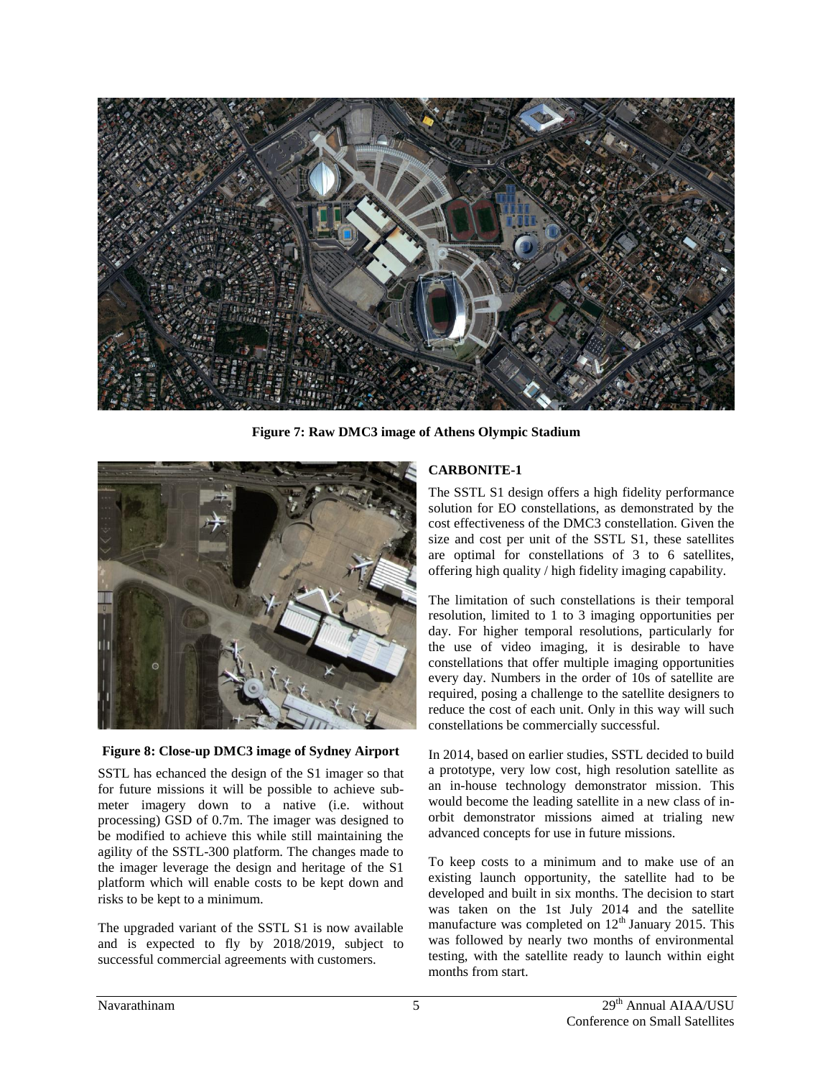

**Figure 7: Raw DMC3 image of Athens Olympic Stadium**



#### **Figure 8: Close-up DMC3 image of Sydney Airport**

SSTL has echanced the design of the S1 imager so that for future missions it will be possible to achieve submeter imagery down to a native (i.e. without processing) GSD of 0.7m. The imager was designed to be modified to achieve this while still maintaining the agility of the SSTL-300 platform. The changes made to the imager leverage the design and heritage of the S1 platform which will enable costs to be kept down and risks to be kept to a minimum.

The upgraded variant of the SSTL S1 is now available and is expected to fly by 2018/2019, subject to successful commercial agreements with customers.

### **CARBONITE-1**

The SSTL S1 design offers a high fidelity performance solution for EO constellations, as demonstrated by the cost effectiveness of the DMC3 constellation. Given the size and cost per unit of the SSTL S1, these satellites are optimal for constellations of 3 to 6 satellites, offering high quality / high fidelity imaging capability.

The limitation of such constellations is their temporal resolution, limited to 1 to 3 imaging opportunities per day. For higher temporal resolutions, particularly for the use of video imaging, it is desirable to have constellations that offer multiple imaging opportunities every day. Numbers in the order of 10s of satellite are required, posing a challenge to the satellite designers to reduce the cost of each unit. Only in this way will such constellations be commercially successful.

In 2014, based on earlier studies, SSTL decided to build a prototype, very low cost, high resolution satellite as an in-house technology demonstrator mission. This would become the leading satellite in a new class of inorbit demonstrator missions aimed at trialing new advanced concepts for use in future missions.

To keep costs to a minimum and to make use of an existing launch opportunity, the satellite had to be developed and built in six months. The decision to start was taken on the 1st July 2014 and the satellite manufacture was completed on  $12<sup>th</sup>$  January 2015. This was followed by nearly two months of environmental testing, with the satellite ready to launch within eight months from start.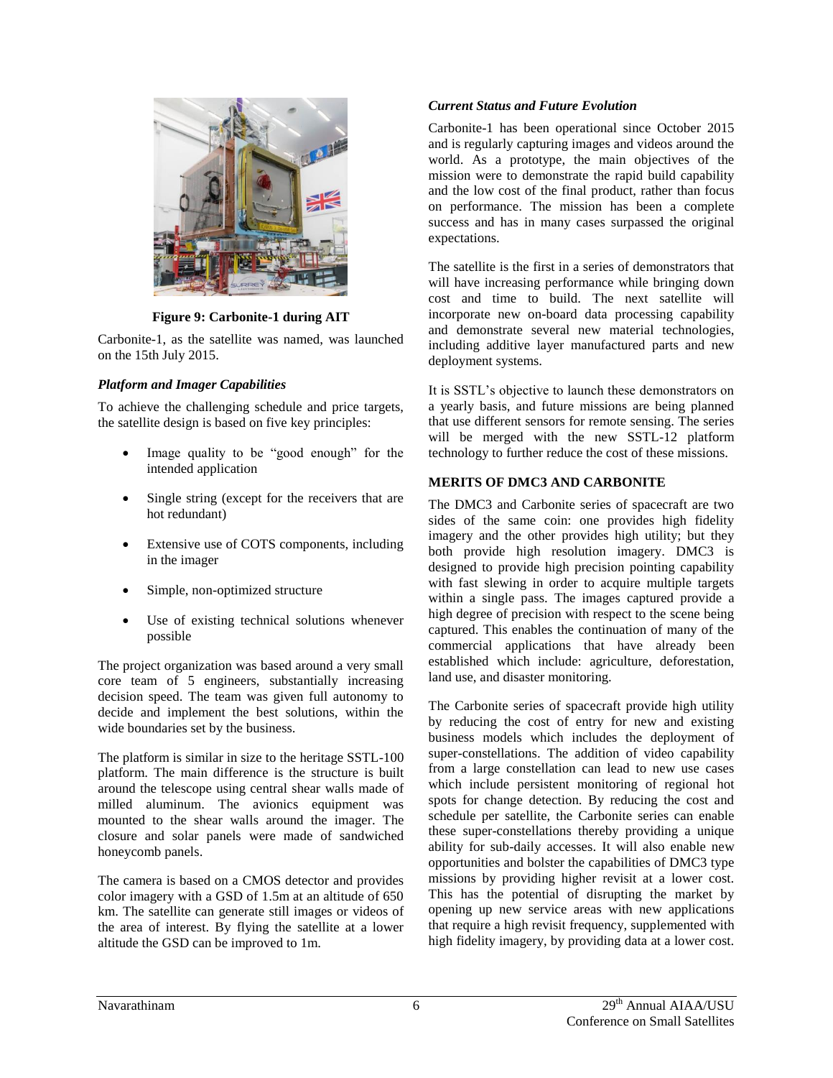

**Figure 9: Carbonite-1 during AIT** 

Carbonite-1, as the satellite was named, was launched on the 15th July 2015.

## *Platform and Imager Capabilities*

To achieve the challenging schedule and price targets, the satellite design is based on five key principles:

- Image quality to be "good enough" for the intended application
- Single string (except for the receivers that are hot redundant)
- Extensive use of COTS components, including in the imager
- Simple, non-optimized structure
- Use of existing technical solutions whenever possible

The project organization was based around a very small core team of 5 engineers, substantially increasing decision speed. The team was given full autonomy to decide and implement the best solutions, within the wide boundaries set by the business.

The platform is similar in size to the heritage SSTL-100 platform. The main difference is the structure is built around the telescope using central shear walls made of milled aluminum. The avionics equipment was mounted to the shear walls around the imager. The closure and solar panels were made of sandwiched honeycomb panels.

The camera is based on a CMOS detector and provides color imagery with a GSD of 1.5m at an altitude of 650 km. The satellite can generate still images or videos of the area of interest. By flying the satellite at a lower altitude the GSD can be improved to 1m.

## *Current Status and Future Evolution*

Carbonite-1 has been operational since October 2015 and is regularly capturing images and videos around the world. As a prototype, the main objectives of the mission were to demonstrate the rapid build capability and the low cost of the final product, rather than focus on performance. The mission has been a complete success and has in many cases surpassed the original expectations.

The satellite is the first in a series of demonstrators that will have increasing performance while bringing down cost and time to build. The next satellite will incorporate new on-board data processing capability and demonstrate several new material technologies, including additive layer manufactured parts and new deployment systems.

It is SSTL's objective to launch these demonstrators on a yearly basis, and future missions are being planned that use different sensors for remote sensing. The series will be merged with the new SSTL-12 platform technology to further reduce the cost of these missions.

# **MERITS OF DMC3 AND CARBONITE**

The DMC3 and Carbonite series of spacecraft are two sides of the same coin: one provides high fidelity imagery and the other provides high utility; but they both provide high resolution imagery. DMC3 is designed to provide high precision pointing capability with fast slewing in order to acquire multiple targets within a single pass. The images captured provide a high degree of precision with respect to the scene being captured. This enables the continuation of many of the commercial applications that have already been established which include: agriculture, deforestation, land use, and disaster monitoring.

The Carbonite series of spacecraft provide high utility by reducing the cost of entry for new and existing business models which includes the deployment of super-constellations. The addition of video capability from a large constellation can lead to new use cases which include persistent monitoring of regional hot spots for change detection. By reducing the cost and schedule per satellite, the Carbonite series can enable these super-constellations thereby providing a unique ability for sub-daily accesses. It will also enable new opportunities and bolster the capabilities of DMC3 type missions by providing higher revisit at a lower cost. This has the potential of disrupting the market by opening up new service areas with new applications that require a high revisit frequency, supplemented with high fidelity imagery, by providing data at a lower cost.